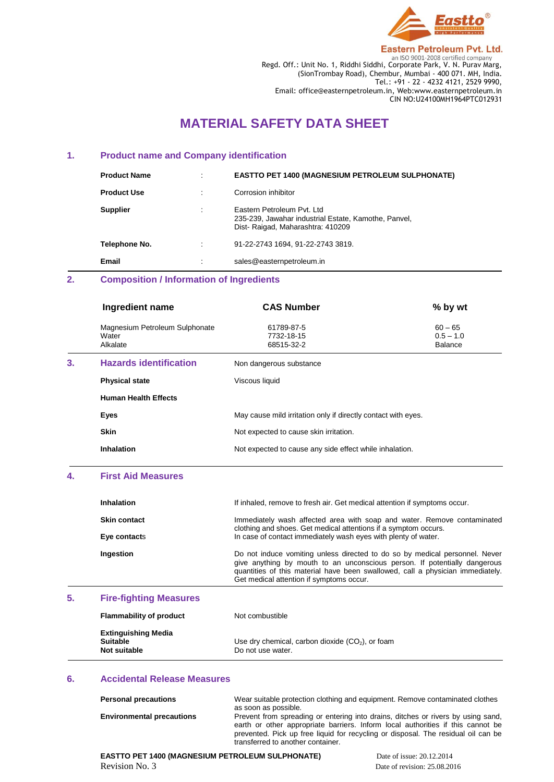

**Eastern Petroleum Pvt. Ltd. ENDENSE 2008**<br>Regd. Off.: Unit No. 1, Riddhi Siddhi, Corporate Park, V. N. Purav Marg, (SionTrombay Road), Chembur, Mumbai - 400 071. MH, India. Tel.: +91 - 22 - 4232 4121, 2529 9990, Email: office@easternpetroleum.in, Web:www.easternpetroleum.in CIN NO:U24100MH1964PTC012931

# **MATERIAL SAFETY DATA SHEET**

## **1. Product name and Company identification**

| <b>Product Name</b> | $\bullet$ | <b>EASTTO PET 1400 (MAGNESIUM PETROLEUM SULPHONATE)</b>                                                                 |
|---------------------|-----------|-------------------------------------------------------------------------------------------------------------------------|
| <b>Product Use</b>  |           | Corrosion inhibitor                                                                                                     |
| <b>Supplier</b>     | ٠         | Eastern Petroleum Pyt. Ltd.<br>235-239, Jawahar industrial Estate, Kamothe, Panvel,<br>Dist-Raigad, Maharashtra: 410209 |
| Telephone No.       | ÷         | 91-22-2743 1694. 91-22-2743 3819.                                                                                       |
| Email               | $\cdot$   | sales@easternpetroleum.in                                                                                               |

# **2. Composition / Information of Ingredients**

|    | Ingredient name                                     | <b>CAS Number</b>                                             | % by wt                                    |
|----|-----------------------------------------------------|---------------------------------------------------------------|--------------------------------------------|
|    | Magnesium Petroleum Sulphonate<br>Water<br>Alkalate | 61789-87-5<br>7732-18-15<br>68515-32-2                        | $60 - 65$<br>$0.5 - 1.0$<br><b>Balance</b> |
| 3. | <b>Hazards identification</b>                       | Non dangerous substance                                       |                                            |
|    | <b>Physical state</b>                               | Viscous liquid                                                |                                            |
|    | <b>Human Health Effects</b>                         |                                                               |                                            |
|    | Eyes                                                | May cause mild irritation only if directly contact with eyes. |                                            |
|    | <b>Skin</b>                                         | Not expected to cause skin irritation.                        |                                            |
|    | <b>Inhalation</b>                                   | Not expected to cause any side effect while inhalation.       |                                            |
|    |                                                     |                                                               |                                            |

# **4. First Aid Measures**

| <b>Inhalation</b>   | If inhaled, remove to fresh air. Get medical attention if symptoms occur.                                                                                                                                                                                                              |
|---------------------|----------------------------------------------------------------------------------------------------------------------------------------------------------------------------------------------------------------------------------------------------------------------------------------|
| <b>Skin contact</b> | Immediately wash affected area with soap and water. Remove contaminated<br>clothing and shoes. Get medical attentions if a symptom occurs.                                                                                                                                             |
| Eye contacts        | In case of contact immediately wash eyes with plenty of water.                                                                                                                                                                                                                         |
| Ingestion           | Do not induce vomiting unless directed to do so by medical personnel. Never<br>give anything by mouth to an unconscious person. If potentially dangerous<br>quantities of this material have been swallowed, call a physician immediately.<br>Get medical attention if symptoms occur. |

#### **5. Fire-fighting Measures**

| <b>Flammability of product</b>                                | Not combustible                                                         |
|---------------------------------------------------------------|-------------------------------------------------------------------------|
| <b>Extinguishing Media</b><br><b>Suitable</b><br>Not suitable | Use dry chemical, carbon dioxide $(CO2)$ , or foam<br>Do not use water. |

### **6. Accidental Release Measures**

| <b>Personal precautions</b>      | Wear suitable protection clothing and equipment. Remove contaminated clothes      |
|----------------------------------|-----------------------------------------------------------------------------------|
|                                  | as soon as possible.                                                              |
| <b>Environmental precautions</b> | Prevent from spreading or entering into drains, ditches or rivers by using sand,  |
|                                  | earth or other appropriate barriers. Inform local authorities if this cannot be   |
|                                  | prevented. Pick up free liquid for recycling or disposal. The residual oil can be |
|                                  | transferred to another container.                                                 |

**EASTTO PET 1400 (MAGNESIUM PETROLEUM SULPHONATE) Date of issue: 20.12.2014** Revision No. 3 Date of revision: 25.08.2016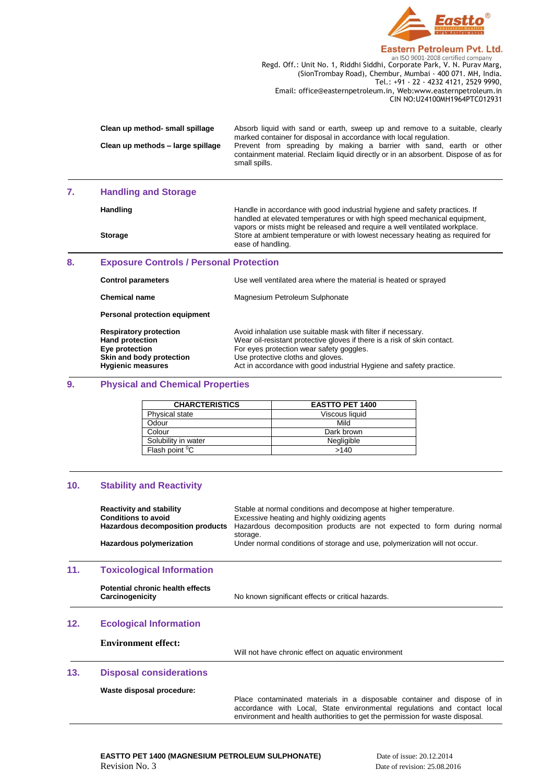

#### **Eastern Petroleum Pvt. Ltd.**

**Regd. Off.: Unit No. 1, Riddhi Siddhi, Corporate Park, V. N. Purav Marg,** Regd. Off.: Unit No. 1, Riddhi Siddhi, Corporate Park, V. N. Purav Marg, (SionTrombay Road), Chembur, Mumbai - 400 071. MH, India. Tel.: +91 - 22 - 4232 4121, 2529 9990, Email: office@easternpetroleum.in, Web:www.easternpetroleum.in CIN NO:U24100MH1964PTC012931

| Clean up method- small spillage   | Absorb liquid with sand or earth, sweep up and remove to a suitable, clearly<br>marked container for disposal in accordance with local regulation.                           |
|-----------------------------------|------------------------------------------------------------------------------------------------------------------------------------------------------------------------------|
| Clean up methods - large spillage | Prevent from spreading by making a barrier with sand, earth or other<br>containment material. Reclaim liquid directly or in an absorbent. Dispose of as for<br>small spills. |

#### **7. Handling and Storage**

Handling **Handle** in accordance with good industrial hygiene and safety practices. If handled at elevated temperatures or with high speed mechanical equipment, vapors or mists might be released and require a well ventilated workplace. **Storage** Store at ambient temperature or with lowest necessary heating as required for ease of handling.

#### **8. Exposure Controls / Personal Protection**

| <b>Control parameters</b>                                                                                                         | Use well ventilated area where the material is heated or sprayed                                                                                                                                                                                                                                 |
|-----------------------------------------------------------------------------------------------------------------------------------|--------------------------------------------------------------------------------------------------------------------------------------------------------------------------------------------------------------------------------------------------------------------------------------------------|
| <b>Chemical name</b>                                                                                                              | Magnesium Petroleum Sulphonate                                                                                                                                                                                                                                                                   |
| Personal protection equipment                                                                                                     |                                                                                                                                                                                                                                                                                                  |
| <b>Respiratory protection</b><br><b>Hand protection</b><br>Eye protection<br>Skin and body protection<br><b>Hygienic measures</b> | Avoid inhalation use suitable mask with filter if necessary.<br>Wear oil-resistant protective gloves if there is a risk of skin contact.<br>For eyes protection wear safety goggles.<br>Use protective cloths and gloves.<br>Act in accordance with good industrial Hygiene and safety practice. |
|                                                                                                                                   |                                                                                                                                                                                                                                                                                                  |

#### **9. Physical and Chemical Properties**

| <b>CHARCTERISTICS</b>      | <b>EASTTO PET 1400</b> |
|----------------------------|------------------------|
| Physical state             | Viscous liquid         |
| Odour                      | Mild                   |
| Colour                     | Dark brown             |
| Solubility in water        | Negligible             |
| Flash point <sup>o</sup> C | >140                   |

#### **10. Stability and Reactivity**

|     | <b>Reactivity and stability</b><br><b>Conditions to avoid</b><br>Hazardous decomposition products<br>Hazardous polymerization | Stable at normal conditions and decompose at higher temperature.<br>Excessive heating and highly oxidizing agents<br>Hazardous decomposition products are not expected to form during normal<br>storage.<br>Under normal conditions of storage and use, polymerization will not occur. |
|-----|-------------------------------------------------------------------------------------------------------------------------------|----------------------------------------------------------------------------------------------------------------------------------------------------------------------------------------------------------------------------------------------------------------------------------------|
| 11. | <b>Toxicological Information</b>                                                                                              |                                                                                                                                                                                                                                                                                        |
|     | Potential chronic health effects<br>Carcinogenicity                                                                           | No known significant effects or critical hazards.                                                                                                                                                                                                                                      |
| 12. | <b>Ecological Information</b>                                                                                                 |                                                                                                                                                                                                                                                                                        |
|     | <b>Environment effect:</b>                                                                                                    | Will not have chronic effect on aquatic environment                                                                                                                                                                                                                                    |
| 13. | <b>Disposal considerations</b>                                                                                                |                                                                                                                                                                                                                                                                                        |
|     | Waste disposal procedure:                                                                                                     |                                                                                                                                                                                                                                                                                        |

Place contaminated materials in a disposable container and dispose of in accordance with Local, State environmental regulations and contact local environment and health authorities to get the permission for waste disposal.